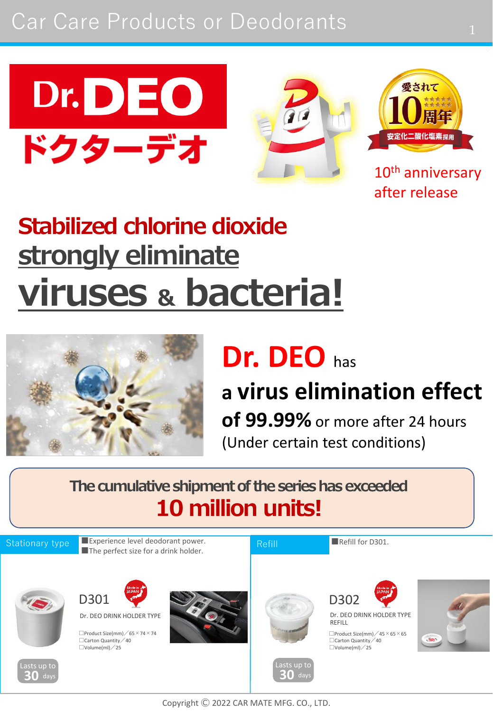# Car Care Products or Deodorants 1997







10<sup>th</sup> anniversary after release

# **Stabilized chlorine dioxide strongly eliminate viruses & bacteria!**



# **Dr. DEO** has

# **a virus elimination effect**

**of 99.99%** or more after 24 hours (Under certain test conditions)

### **The cumulative shipment of the series has exceeded 10 million units!**

 $\square$ Product Size(mm) / 65 × 74 × 74 Stationary type D301 Dr. DEO DRINK HOLDER TYPE ■Experience level deodorant power. ■The perfect size for a drink holder.  $\square$ Product Size(mm) / 45  $\times$  65  $\times$  65 Refill D302 Dr. DEO DRINK HOLDER TYPE REFILL Refill for D301.  $\square$ Volume(ml) / 25 □Carton Quantity/40  $\overline{\text{st}}$ s up  $\overline{\text{t}}$ c **30** days **30** days  $\square$ Volume(ml) / 25 □Carton Quantity / 40

Copyright Ⓒ 2022 CAR MATE MFG. CO., LTD.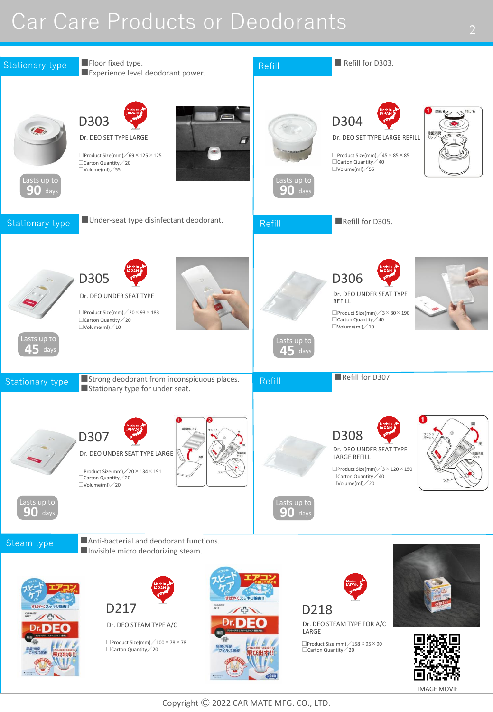# Car Care Products or Deodorants 2008



IMAGE MOVIE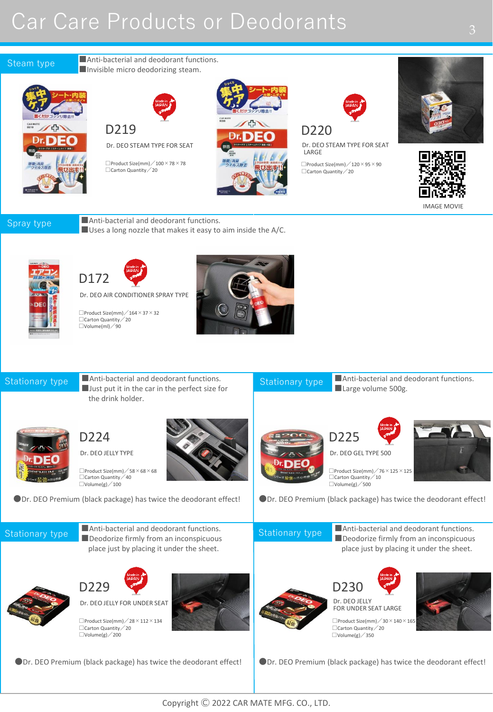# Car Care Products or Deodorants 3

#### Steam type

■Anti-bacterial and deodorant functions. ■Invisible micro deodorizing steam.





Dr. DEO STEAM TYPE FOR SEAT

 $\Box$ Product Size(mm)  $\diagup$  100  $\times$  78  $\times$  78 □Froduct size(iiiii)/ 100×76×76<br>□Carton Quantity/20





Dr. DEO STEAM TYPE FOR SEAT LARGE

 $\Box$ Product Size(mm)  $\diagup$  120  $\times$  95  $\times$  90<br> $\Box$ Carton Quantity  $\diagup$  20

D220



Spray type

■Anti-bacterial and deodorant functions. ■ Uses a long nozzle that makes it easy to aim inside the A/C.





 $\Box$ Product Size(mm)  $\diagup$  164  $\times$  37  $\times$  32

□Carton Quantity / 20 □Volume(ml)/90



| <b>Stationary type</b> | Anti-bacterial and deodorant functions.<br>$\blacksquare$ Just put it in the car in the perfect size for<br>the drink holder.                                                                             | Stationary type | Anti-bacterial and deodorant functions.<br>Large volume 500g.                                                                                                                                                 |
|------------------------|-----------------------------------------------------------------------------------------------------------------------------------------------------------------------------------------------------------|-----------------|---------------------------------------------------------------------------------------------------------------------------------------------------------------------------------------------------------------|
|                        | D224<br>Dr. DEO JELLY TYPE<br>$\Box$ Product Size(mm) / 58 $\times$ 68 $\times$ 68<br>□Carton Quantity / 40<br>$\Box$ Volume(g) / 100<br>ODr. DEO Premium (black package) has twice the deodorant effect! |                 | D225<br>Dr. DEO GEL TYPE 500<br>$\Box$ Product Size(mm) / 76 $\times$ 125 $\times$ 125<br>□Carton Quantity / 10<br>$\Box$ Volume(g) / 500<br>●Dr. DEO Premium (black package) has twice the deodorant effect! |
| <b>Stationary type</b> | Anti-bacterial and deodorant functions.<br>Deodorize firmly from an inconspicuous<br>place just by placing it under the sheet.                                                                            | Stationary type | Anti-bacterial and deodorant functions.<br>Deodorize firmly from an inconspicuous<br>place just by placing it under the sheet.                                                                                |
|                        | D229<br>Dr. DEO JELLY FOR UNDER SEAT<br>$\Box$ Product Size(mm) $\angle$ 28 $\times$ 112 $\times$ 134<br>$\Box$ Carton Quantity $\angle$ 20                                                               |                 | D <sub>230</sub><br>Dr. DEO JELLY<br>FOR UNDER SEAT LARGE<br>$\Box$ Product Size(mm) $\angle$ 30 $\times$ 140 $\times$ 165<br>□Carton Quantity / 20                                                           |

●Dr. DEO Premium (black package) has twice the deodorant effect! ●Dr. DEO Premium (black package) has twice the deodorant effect!

 $\Box$ Volume(g)  $\angle$  200  $\Box$ Volume(g)  $\angle$  350